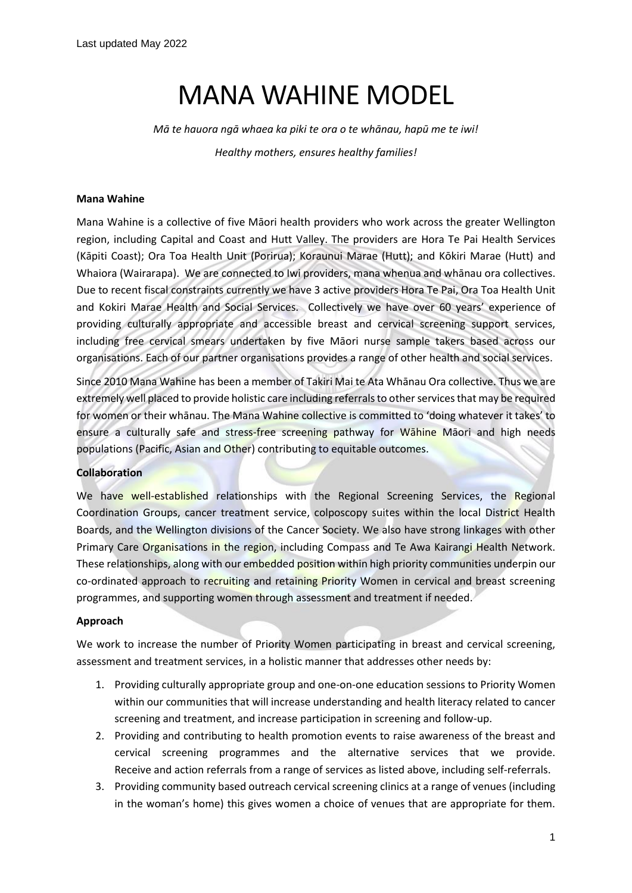# MANA WAHINE MODEL

*Mā te hauora ngā whaea ka piki te ora o te whānau, hapū me te iwi! Healthy mothers, ensures healthy families!*

### **Mana Wahine**

Mana Wahine is a collective of five Māori health providers who work across the greater Wellington region, including Capital and Coast and Hutt Valley. The providers are Hora Te Pai Health Services (Kāpiti Coast); Ora Toa Health Unit (Porirua); Koraunui Marae (Hutt); and Kōkiri Marae (Hutt) and Whaiora (Wairarapa). We are connected to Iwi providers, mana whenua and whānau ora collectives. Due to recent fiscal constraints currently we have 3 active providers Hora Te Pai, Ora Toa Health Unit and Kokiri Marae Health and Social Services. Collectively we have over 60 years' experience of providing culturally appropriate and accessible breast and cervical screening support services, including free cervical smears undertaken by five Māori nurse sample takers based across our organisations. Each of our partner organisations provides a range of other health and social services.

Since 2010 Mana Wahine has been a member of Takiri Mai te Ata Whānau Ora collective. Thus we are extremely well placed to provide holistic care including referrals to other services that may be required for women or their whānau. The Mana Wahine collective is committed to 'doing whatever it takes' to ensure a culturally safe and stress-free screening pathway for Wahine Maori and high needs populations (Pacific, Asian and Other) contributing to equitable outcomes.

#### **Collaboration**

We have well-established relationships with the Regional Screening Services, the Regional Coordination Groups, cancer treatment service, colposcopy suites within the local District Health Boards, and the Wellington divisions of the Cancer Society. We also have strong linkages with other Primary Care Organisations in the region, including Compass and Te Awa Kairangi Health Network. These relationships, along with our embedded position within high priority communities underpin our co-ordinated approach to recruiting and retaining Priority Women in cervical and breast screening programmes, and supporting women through assessment and treatment if needed.

#### **Approach**

We work to increase the number of Priority Women participating in breast and cervical screening, assessment and treatment services, in a holistic manner that addresses other needs by:

- 1. Providing culturally appropriate group and one-on-one education sessions to Priority Women within our communities that will increase understanding and health literacy related to cancer screening and treatment, and increase participation in screening and follow-up.
- 2. Providing and contributing to health promotion events to raise awareness of the breast and cervical screening programmes and the alternative services that we provide. Receive and action referrals from a range of services as listed above, including self-referrals.
- 3. Providing community based outreach cervical screening clinics at a range of venues (including in the woman's home) this gives women a choice of venues that are appropriate for them.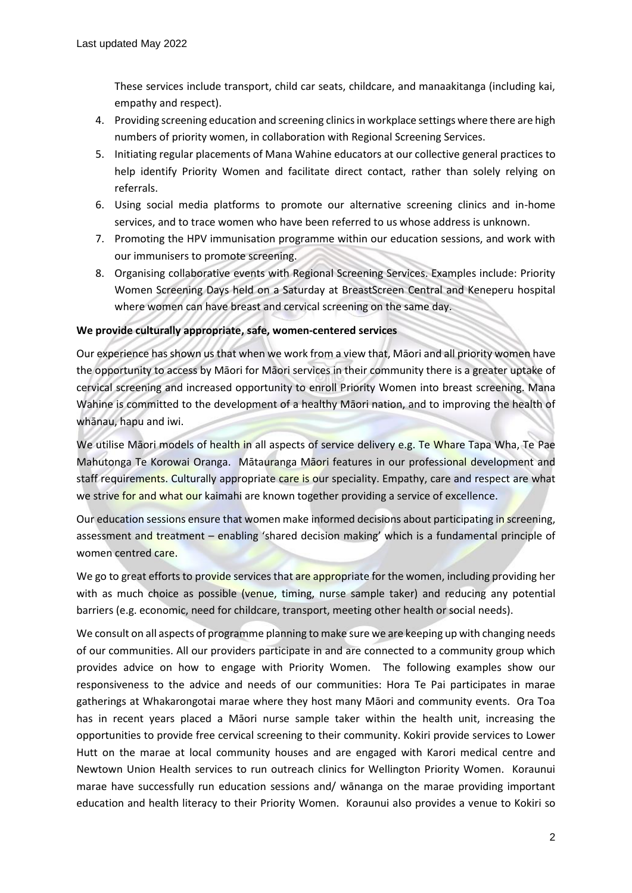These services include transport, child car seats, childcare, and manaakitanga (including kai, empathy and respect).

- 4. Providing screening education and screening clinics in workplace settings where there are high numbers of priority women, in collaboration with Regional Screening Services.
- 5. Initiating regular placements of Mana Wahine educators at our collective general practices to help identify Priority Women and facilitate direct contact, rather than solely relying on referrals.
- 6. Using social media platforms to promote our alternative screening clinics and in-home services, and to trace women who have been referred to us whose address is unknown.
- 7. Promoting the HPV immunisation programme within our education sessions, and work with our immunisers to promote screening.
- 8. Organising collaborative events with Regional Screening Services. Examples include: Priority Women Screening Days held on a Saturday at BreastScreen Central and Keneperu hospital where women can have breast and cervical screening on the same day.

## **We provide culturally appropriate, safe, women-centered services**

Our experience has shown us that when we work from a view that, Māori and all priority women have the opportunity to access by Māori for Māori services in their community there is a greater uptake of cervical screening and increased opportunity to enroll Priority Women into breast screening. Mana Wahine is committed to the development of a healthy Māori nation, and to improving the health of whānau, hapu and iwi.

We utilise Māori models of health in all aspects of service delivery e.g. Te Whare Tapa Wha, Te Pae Mahutonga Te Korowai Oranga. Mātauranga Māori features in our professional development and staff requirements. Culturally appropriate care is our speciality. Empathy, care and respect are what we strive for and what our kaimahi are known together providing a service of excellence.

Our education sessions ensure that women make informed decisions about participating in screening, assessment and treatment - enabling 'shared decision making' which is a fundamental principle of women centred care.

We go to great efforts to provide services that are appropriate for the women, including providing her with as much choice as possible (venue, timing, nurse sample taker) and reducing any potential barriers (e.g. economic, need for childcare, transport, meeting other health or social needs).

We consult on all aspects of programme planning to make sure we are keeping up with changing needs of our communities. All our providers participate in and are connected to a community group which provides advice on how to engage with Priority Women. The following examples show our responsiveness to the advice and needs of our communities: Hora Te Pai participates in marae gatherings at Whakarongotai marae where they host many Māori and community events. Ora Toa has in recent years placed a Māori nurse sample taker within the health unit, increasing the opportunities to provide free cervical screening to their community. Kokiri provide services to Lower Hutt on the marae at local community houses and are engaged with Karori medical centre and Newtown Union Health services to run outreach clinics for Wellington Priority Women. Koraunui marae have successfully run education sessions and/ wānanga on the marae providing important education and health literacy to their Priority Women. Koraunui also provides a venue to Kokiri so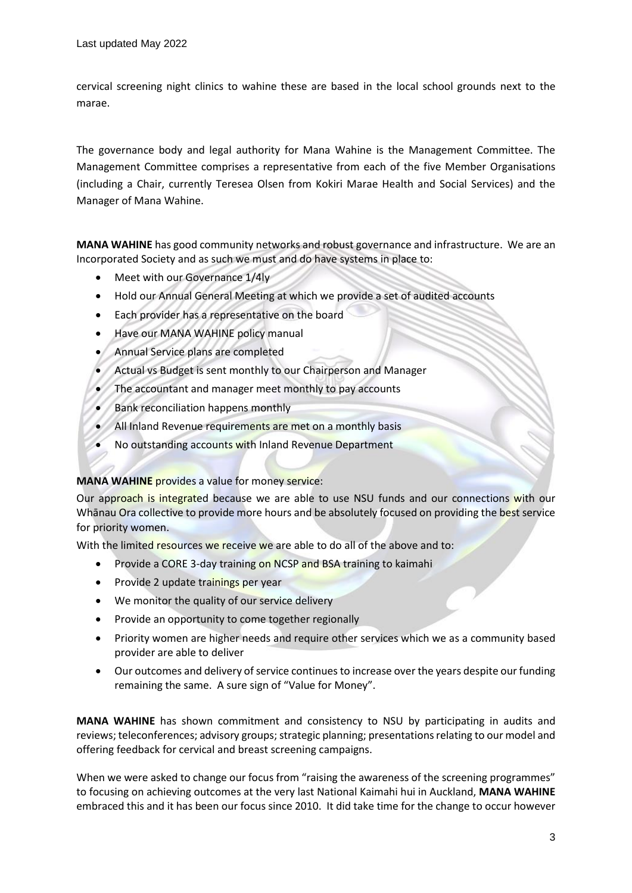cervical screening night clinics to wahine these are based in the local school grounds next to the marae.

The governance body and legal authority for Mana Wahine is the Management Committee. The Management Committee comprises a representative from each of the five Member Organisations (including a Chair, currently Teresea Olsen from Kokiri Marae Health and Social Services) and the Manager of Mana Wahine.

**MANA WAHINE** has good community networks and robust governance and infrastructure. We are an Incorporated Society and as such we must and do have systems in place to:

- Meet with our Governance 1/4ly
- Hold our Annual General Meeting at which we provide a set of audited accounts
- Each provider has a representative on the board
- Have our MANA WAHINE policy manual
- Annual Service plans are completed
- Actual vs Budget is sent monthly to our Chairperson and Manager
- The accountant and manager meet monthly to pay accounts
- Bank reconciliation happens monthly
- All Inland Revenue requirements are met on a monthly basis
- No outstanding accounts with Inland Revenue Department

## **MANA WAHINE** provides a value for money service:

Our approach is integrated because we are able to use NSU funds and our connections with our Whānau Ora collective to provide more hours and be absolutely focused on providing the best service for priority women.

With the limited resources we receive we are able to do all of the above and to:

- Provide a CORE 3-day training on NCSP and BSA training to kaimahi
- Provide 2 update trainings per year
- We monitor the quality of our service delivery
- Provide an opportunity to come together regionally
- Priority women are higher needs and require other services which we as a community based provider are able to deliver
- Our outcomes and delivery of service continues to increase over the years despite our funding remaining the same. A sure sign of "Value for Money".

**MANA WAHINE** has shown commitment and consistency to NSU by participating in audits and reviews; teleconferences; advisory groups; strategic planning; presentations relating to our model and offering feedback for cervical and breast screening campaigns.

When we were asked to change our focus from "raising the awareness of the screening programmes" to focusing on achieving outcomes at the very last National Kaimahi hui in Auckland, **MANA WAHINE** embraced this and it has been our focus since 2010. It did take time for the change to occur however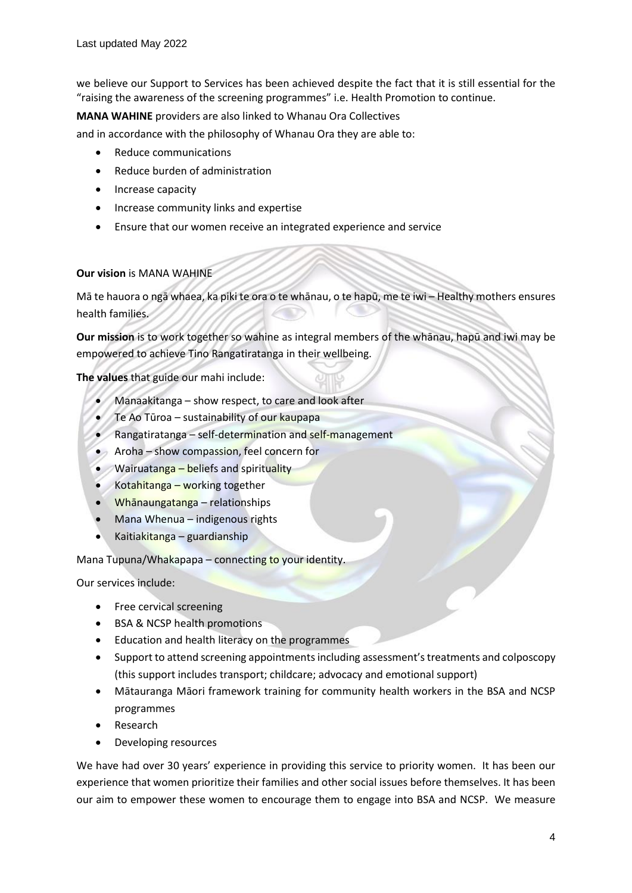we believe our Support to Services has been achieved despite the fact that it is still essential for the "raising the awareness of the screening programmes" i.e. Health Promotion to continue.

**MANA WAHINE** providers are also linked to Whanau Ora Collectives

and in accordance with the philosophy of Whanau Ora they are able to:

- Reduce communications
- Reduce burden of administration
- Increase capacity
- Increase community links and expertise
- Ensure that our women receive an integrated experience and service

## **Our vision** is MANA WAHINE

Mā te hauora o ngā whaea, ka piki te ora o te whānau, o te hapū, me te iwi – Healthy mothers ensures health families.

**Our mission** is to work together so wahine as integral members of the whānau, hapū and iwi may be empowered to achieve Tino Rangatiratanga in their wellbeing.

**The values** that guide our mahi include:

- Manaakitanga show respect, to care and look after
- Te Ao Tūroa sustainability of our kaupapa
- Rangatiratanga self-determination and self-management
- Aroha show compassion, feel concern for
- Wairuatanga beliefs and spirituality
- Kotahitanga working together
- Whānaungatanga relationships
- Mana Whenua indigenous rights
- Kaitiakitanga guardianship

Mana Tupuna/Whakapapa – connecting to your identity.

Our services include:

- Free cervical screening
- BSA & NCSP health promotions
- Education and health literacy on the programmes
- Support to attend screening appointmentsincluding assessment's treatments and colposcopy (this support includes transport; childcare; advocacy and emotional support)
- Mātauranga Māori framework training for community health workers in the BSA and NCSP programmes
- Research
- Developing resources

We have had over 30 years' experience in providing this service to priority women. It has been our experience that women prioritize their families and other social issues before themselves. It has been our aim to empower these women to encourage them to engage into BSA and NCSP. We measure